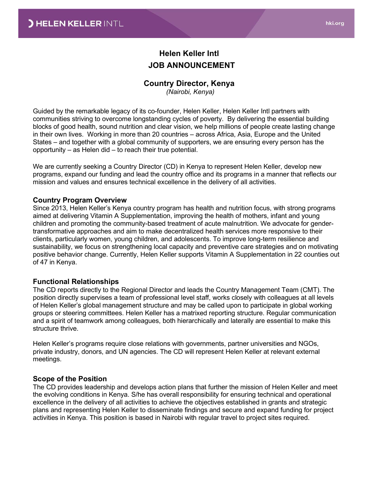# Helen Keller Intl JOB ANNOUNCEMENT

### Country Director, Kenya

(Nairobi, Kenya)

Guided by the remarkable legacy of its co-founder, Helen Keller, Helen Keller Intl partners with communities striving to overcome longstanding cycles of poverty. By delivering the essential building blocks of good health, sound nutrition and clear vision, we help millions of people create lasting change in their own lives. Working in more than 20 countries – across Africa, Asia, Europe and the United States – and together with a global community of supporters, we are ensuring every person has the opportunity – as Helen did – to reach their true potential.

We are currently seeking a Country Director (CD) in Kenya to represent Helen Keller, develop new programs, expand our funding and lead the country office and its programs in a manner that reflects our mission and values and ensures technical excellence in the delivery of all activities.

#### Country Program Overview

Since 2013, Helen Keller's Kenya country program has health and nutrition focus, with strong programs aimed at delivering Vitamin A Supplementation, improving the health of mothers, infant and young children and promoting the community-based treatment of acute malnutrition. We advocate for gendertransformative approaches and aim to make decentralized health services more responsive to their clients, particularly women, young children, and adolescents. To improve long-term resilience and sustainability, we focus on strengthening local capacity and preventive care strategies and on motivating positive behavior change. Currently, Helen Keller supports Vitamin A Supplementation in 22 counties out of 47 in Kenya.

#### Functional Relationships

The CD reports directly to the Regional Director and leads the Country Management Team (CMT). The position directly supervises a team of professional level staff, works closely with colleagues at all levels of Helen Keller's global management structure and may be called upon to participate in global working groups or steering committees. Helen Keller has a matrixed reporting structure. Regular communication and a spirit of teamwork among colleagues, both hierarchically and laterally are essential to make this structure thrive.

Helen Keller's programs require close relations with governments, partner universities and NGOs, private industry, donors, and UN agencies. The CD will represent Helen Keller at relevant external meetings.

#### Scope of the Position

The CD provides leadership and develops action plans that further the mission of Helen Keller and meet the evolving conditions in Kenya. S/he has overall responsibility for ensuring technical and operational excellence in the delivery of all activities to achieve the objectives established in grants and strategic plans and representing Helen Keller to disseminate findings and secure and expand funding for project activities in Kenya. This position is based in Nairobi with regular travel to project sites required.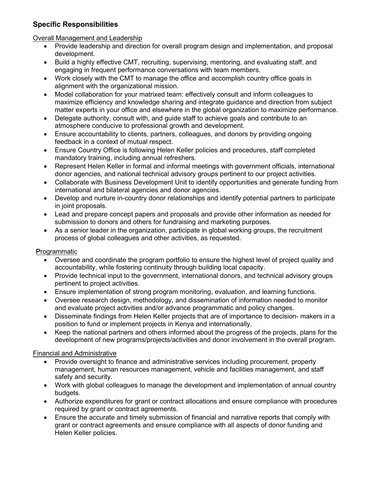### Specific Responsibilities

### Overall Management and Leadership

- Provide leadership and direction for overall program design and implementation, and proposal development.
- Build a highly effective CMT, recruiting, supervising, mentoring, and evaluating staff, and engaging in frequent performance conversations with team members.
- Work closely with the CMT to manage the office and accomplish country office goals in alignment with the organizational mission.
- Model collaboration for your matrixed team: effectively consult and inform colleagues to maximize efficiency and knowledge sharing and integrate guidance and direction from subject matter experts in your office and elsewhere in the global organization to maximize performance.
- Delegate authority, consult with, and quide staff to achieve goals and contribute to an atmosphere conducive to professional growth and development.
- Ensure accountability to clients, partners, colleagues, and donors by providing ongoing feedback in a context of mutual respect.
- Ensure Country Office is following Helen Keller policies and procedures, staff completed mandatory training, including annual refreshers.
- Represent Helen Keller in formal and informal meetings with government officials, international donor agencies, and national technical advisory groups pertinent to our project activities.
- Collaborate with Business Development Unit to identify opportunities and generate funding from international and bilateral agencies and donor agencies.
- Develop and nurture in-country donor relationships and identify potential partners to participate in joint proposals.
- Lead and prepare concept papers and proposals and provide other information as needed for submission to donors and others for fundraising and marketing purposes.
- As a senior leader in the organization, participate in global working groups, the recruitment process of global colleagues and other activities, as requested.

# **Programmatic**

- Oversee and coordinate the program portfolio to ensure the highest level of project quality and accountability, while fostering continuity through building local capacity.
- Provide technical input to the government, international donors, and technical advisory groups pertinent to project activities.
- Ensure implementation of strong program monitoring, evaluation, and learning functions.
- Oversee research design, methodology, and dissemination of information needed to monitor and evaluate project activities and/or advance programmatic and policy changes.
- Disseminate findings from Helen Keller projects that are of importance to decision- makers in a position to fund or implement projects in Kenya and internationally.
- Keep the national partners and others informed about the progress of the projects, plans for the development of new programs/projects/activities and donor involvement in the overall program.

# Financial and Administrative

- Provide oversight to finance and administrative services including procurement, property management, human resources management, vehicle and facilities management, and staff safety and security.
- Work with global colleagues to manage the development and implementation of annual country budgets.
- Authorize expenditures for grant or contract allocations and ensure compliance with procedures required by grant or contract agreements.
- Ensure the accurate and timely submission of financial and narrative reports that comply with grant or contract agreements and ensure compliance with all aspects of donor funding and Helen Keller policies.